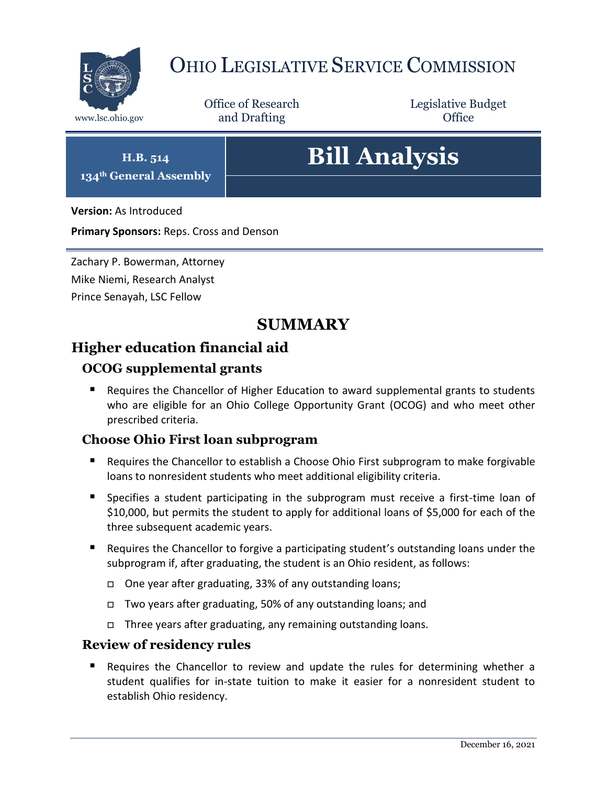

# OHIO LEGISLATIVE SERVICE COMMISSION

Office of Research www.lsc.ohio.gov **and Drafting Office** 

Legislative Budget

**H.B. 514 134th General Assembly**

# **Bill Analysis**

**Version:** As Introduced

**Primary Sponsors:** Reps. Cross and Denson

Zachary P. Bowerman, Attorney Mike Niemi, Research Analyst Prince Senayah, LSC Fellow

# **SUMMARY**

# **Higher education financial aid**

# **OCOG supplemental grants**

■ Requires the Chancellor of Higher Education to award supplemental grants to students who are eligible for an Ohio College Opportunity Grant (OCOG) and who meet other prescribed criteria.

# **Choose Ohio First loan subprogram**

- Requires the Chancellor to establish a Choose Ohio First subprogram to make forgivable loans to nonresident students who meet additional eligibility criteria.
- Specifies a student participating in the subprogram must receive a first-time loan of \$10,000, but permits the student to apply for additional loans of \$5,000 for each of the three subsequent academic years.
- **Requires the Chancellor to forgive a participating student's outstanding loans under the** subprogram if, after graduating, the student is an Ohio resident, as follows:
	- One year after graduating, 33% of any outstanding loans;
	- Two years after graduating, 50% of any outstanding loans; and
	- □ Three years after graduating, any remaining outstanding loans.

### **Review of residency rules**

 Requires the Chancellor to review and update the rules for determining whether a student qualifies for in-state tuition to make it easier for a nonresident student to establish Ohio residency.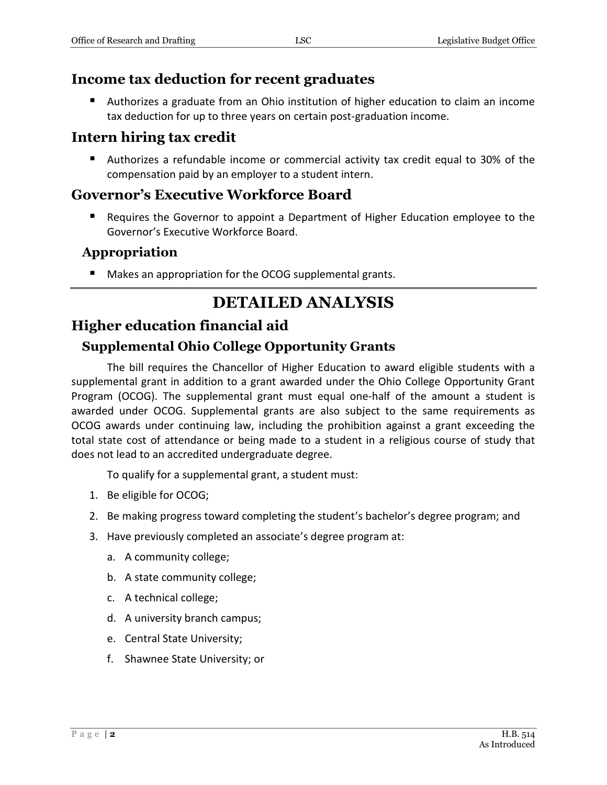# **Income tax deduction for recent graduates**

 Authorizes a graduate from an Ohio institution of higher education to claim an income tax deduction for up to three years on certain post-graduation income.

# **Intern hiring tax credit**

 Authorizes a refundable income or commercial activity tax credit equal to 30% of the compensation paid by an employer to a student intern.

# **Governor's Executive Workforce Board**

**Requires the Governor to appoint a Department of Higher Education employee to the** Governor's Executive Workforce Board.

### **Appropriation**

■ Makes an appropriation for the OCOG supplemental grants.

# **DETAILED ANALYSIS**

# **Higher education financial aid**

# **Supplemental Ohio College Opportunity Grants**

The bill requires the Chancellor of Higher Education to award eligible students with a supplemental grant in addition to a grant awarded under the Ohio College Opportunity Grant Program (OCOG). The supplemental grant must equal one-half of the amount a student is awarded under OCOG. Supplemental grants are also subject to the same requirements as OCOG awards under continuing law, including the prohibition against a grant exceeding the total state cost of attendance or being made to a student in a religious course of study that does not lead to an accredited undergraduate degree.

To qualify for a supplemental grant, a student must:

- 1. Be eligible for OCOG;
- 2. Be making progress toward completing the student's bachelor's degree program; and
- 3. Have previously completed an associate's degree program at:
	- a. A community college;
	- b. A state community college;
	- c. A technical college;
	- d. A university branch campus;
	- e. Central State University;
	- f. Shawnee State University; or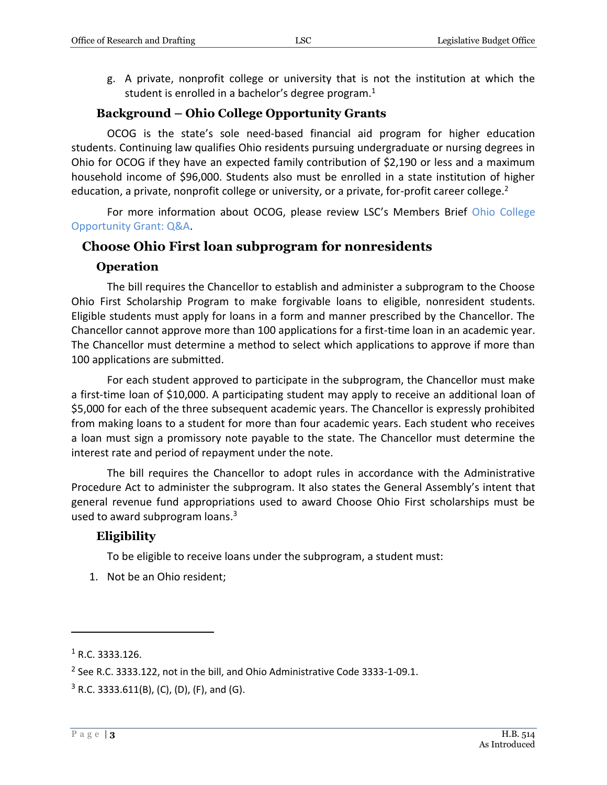g. A private, nonprofit college or university that is not the institution at which the student is enrolled in a bachelor's degree program.<sup>1</sup>

#### **Background – Ohio College Opportunity Grants**

OCOG is the state's sole need-based financial aid program for higher education students. Continuing law qualifies Ohio residents pursuing undergraduate or nursing degrees in Ohio for OCOG if they have an expected family contribution of \$2,190 or less and a maximum household income of \$96,000. Students also must be enrolled in a state institution of higher education, a private, nonprofit college or university, or a private, for-profit career college.<sup>2</sup>

For more information about OCOG, please review LSC's Members Brief [Ohio College](https://www.lsc.ohio.gov/documents/reference/current/membersonlybriefs/134%20Ohio%20College%20Opportunity%20Grant%20QA.pdf)  [Opportunity Grant: Q&A.](https://www.lsc.ohio.gov/documents/reference/current/membersonlybriefs/134%20Ohio%20College%20Opportunity%20Grant%20QA.pdf)

#### **Choose Ohio First loan subprogram for nonresidents**

#### **Operation**

The bill requires the Chancellor to establish and administer a subprogram to the Choose Ohio First Scholarship Program to make forgivable loans to eligible, nonresident students. Eligible students must apply for loans in a form and manner prescribed by the Chancellor. The Chancellor cannot approve more than 100 applications for a first-time loan in an academic year. The Chancellor must determine a method to select which applications to approve if more than 100 applications are submitted.

For each student approved to participate in the subprogram, the Chancellor must make a first-time loan of \$10,000. A participating student may apply to receive an additional loan of \$5,000 for each of the three subsequent academic years. The Chancellor is expressly prohibited from making loans to a student for more than four academic years. Each student who receives a loan must sign a promissory note payable to the state. The Chancellor must determine the interest rate and period of repayment under the note.

The bill requires the Chancellor to adopt rules in accordance with the Administrative Procedure Act to administer the subprogram. It also states the General Assembly's intent that general revenue fund appropriations used to award Choose Ohio First scholarships must be used to award subprogram loans.<sup>3</sup>

#### **Eligibility**

To be eligible to receive loans under the subprogram, a student must:

1. Not be an Ohio resident;

 $1$  R.C. 3333.126.

 $2$  See R.C. 3333.122, not in the bill, and Ohio Administrative Code 3333-1-09.1.

 $3$  R.C. 3333.611(B), (C), (D), (F), and (G).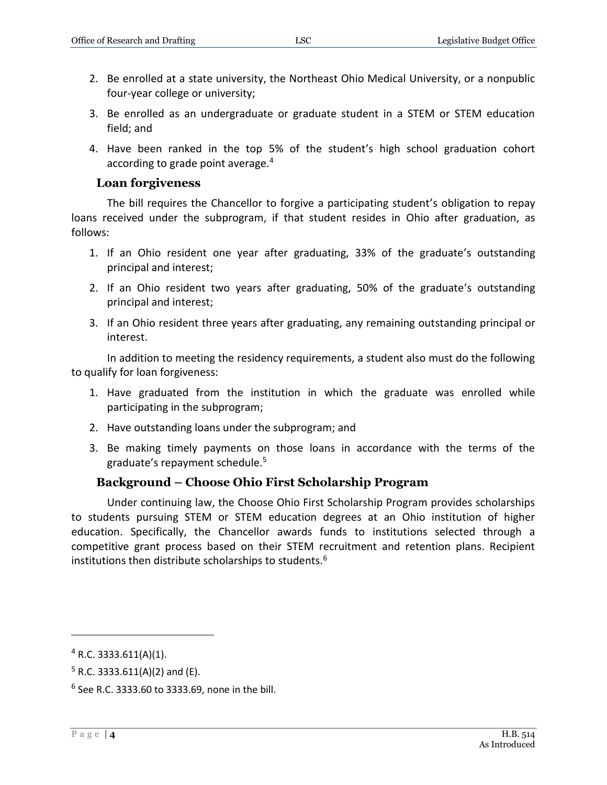- 2. Be enrolled at a state university, the Northeast Ohio Medical University, or a nonpublic four-year college or university;
- 3. Be enrolled as an undergraduate or graduate student in a STEM or STEM education field; and
- 4. Have been ranked in the top 5% of the student's high school graduation cohort according to grade point average.<sup>4</sup>

#### **Loan forgiveness**

The bill requires the Chancellor to forgive a participating student's obligation to repay loans received under the subprogram, if that student resides in Ohio after graduation, as follows:

- 1. If an Ohio resident one year after graduating, 33% of the graduate's outstanding principal and interest;
- 2. If an Ohio resident two years after graduating, 50% of the graduate's outstanding principal and interest;
- 3. If an Ohio resident three years after graduating, any remaining outstanding principal or interest.

In addition to meeting the residency requirements, a student also must do the following to qualify for loan forgiveness:

- 1. Have graduated from the institution in which the graduate was enrolled while participating in the subprogram;
- 2. Have outstanding loans under the subprogram; and
- 3. Be making timely payments on those loans in accordance with the terms of the graduate's repayment schedule.<sup>5</sup>

#### **Background – Choose Ohio First Scholarship Program**

Under continuing law, the Choose Ohio First Scholarship Program provides scholarships to students pursuing STEM or STEM education degrees at an Ohio institution of higher education. Specifically, the Chancellor awards funds to institutions selected through a competitive grant process based on their STEM recruitment and retention plans. Recipient institutions then distribute scholarships to students.<sup>6</sup>

 $4$  R.C. 3333.611(A)(1).

 $5$  R.C. 3333.611(A)(2) and (E).

 $6$  See R.C. 3333.60 to 3333.69, none in the bill.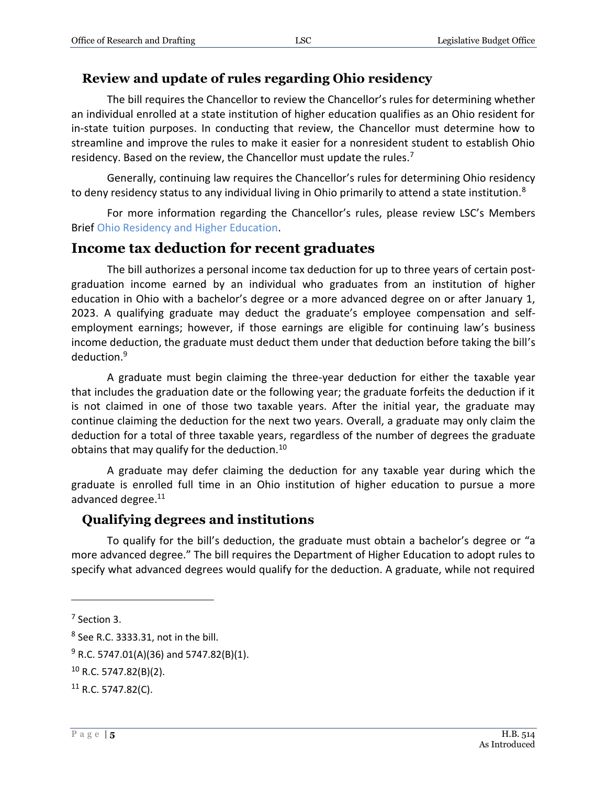### **Review and update of rules regarding Ohio residency**

The bill requires the Chancellor to review the Chancellor's rules for determining whether an individual enrolled at a state institution of higher education qualifies as an Ohio resident for in-state tuition purposes. In conducting that review, the Chancellor must determine how to streamline and improve the rules to make it easier for a nonresident student to establish Ohio residency. Based on the review, the Chancellor must update the rules.<sup>7</sup>

Generally, continuing law requires the Chancellor's rules for determining Ohio residency to deny residency status to any individual living in Ohio primarily to attend a state institution.<sup>8</sup>

For more information regarding the Chancellor's rules, please review LSC's Members Brief [Ohio Residency and Higher Education.](https://www.lsc.ohio.gov/documents/reference/current/membersonlybriefs/134%20Ohio%20Residency%20and%20Higher%20Education.pdf)

### **Income tax deduction for recent graduates**

The bill authorizes a personal income tax deduction for up to three years of certain postgraduation income earned by an individual who graduates from an institution of higher education in Ohio with a bachelor's degree or a more advanced degree on or after January 1, 2023. A qualifying graduate may deduct the graduate's employee compensation and selfemployment earnings; however, if those earnings are eligible for continuing law's business income deduction, the graduate must deduct them under that deduction before taking the bill's deduction.<sup>9</sup>

A graduate must begin claiming the three-year deduction for either the taxable year that includes the graduation date or the following year; the graduate forfeits the deduction if it is not claimed in one of those two taxable years. After the initial year, the graduate may continue claiming the deduction for the next two years. Overall, a graduate may only claim the deduction for a total of three taxable years, regardless of the number of degrees the graduate obtains that may qualify for the deduction.<sup>10</sup>

A graduate may defer claiming the deduction for any taxable year during which the graduate is enrolled full time in an Ohio institution of higher education to pursue a more advanced degree. 11

# **Qualifying degrees and institutions**

To qualify for the bill's deduction, the graduate must obtain a bachelor's degree or "a more advanced degree." The bill requires the Department of Higher Education to adopt rules to specify what advanced degrees would qualify for the deduction. A graduate, while not required

<sup>7</sup> Section 3.

 $8$  See R.C. 3333.31, not in the bill.

 $9$  R.C. 5747.01(A)(36) and 5747.82(B)(1).

 $10$  R.C. 5747.82(B)(2).

 $11$  R.C. 5747.82(C).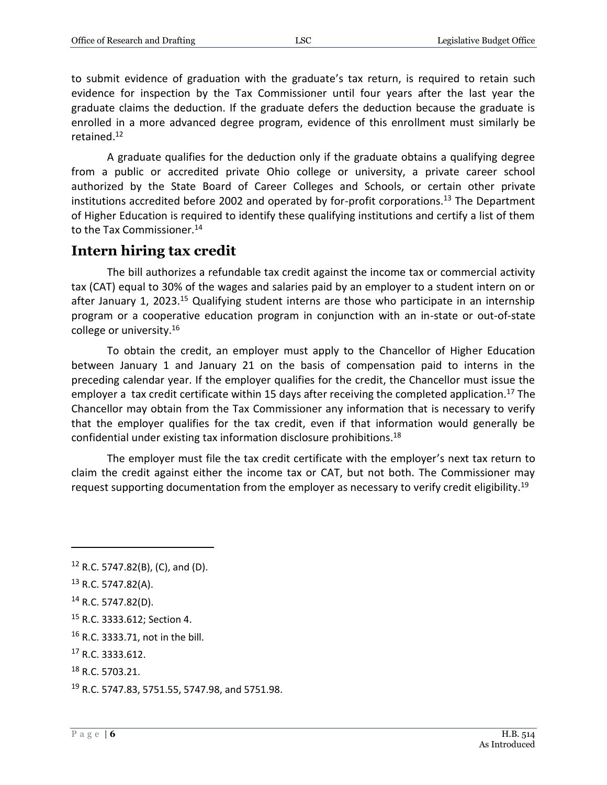to submit evidence of graduation with the graduate's tax return, is required to retain such evidence for inspection by the Tax Commissioner until four years after the last year the graduate claims the deduction. If the graduate defers the deduction because the graduate is enrolled in a more advanced degree program, evidence of this enrollment must similarly be retained.<sup>12</sup>

A graduate qualifies for the deduction only if the graduate obtains a qualifying degree from a public or accredited private Ohio college or university, a private career school authorized by the State Board of Career Colleges and Schools, or certain other private institutions accredited before 2002 and operated by for-profit corporations.<sup>13</sup> The Department of Higher Education is required to identify these qualifying institutions and certify a list of them to the Tax Commissioner.<sup>14</sup>

# **Intern hiring tax credit**

The bill authorizes a refundable tax credit against the income tax or commercial activity tax (CAT) equal to 30% of the wages and salaries paid by an employer to a student intern on or after January 1, 2023.<sup>15</sup> Qualifying student interns are those who participate in an internship program or a cooperative education program in conjunction with an in-state or out-of-state college or university.<sup>16</sup>

To obtain the credit, an employer must apply to the Chancellor of Higher Education between January 1 and January 21 on the basis of compensation paid to interns in the preceding calendar year. If the employer qualifies for the credit, the Chancellor must issue the employer a tax credit certificate within 15 days after receiving the completed application.<sup>17</sup> The Chancellor may obtain from the Tax Commissioner any information that is necessary to verify that the employer qualifies for the tax credit, even if that information would generally be confidential under existing tax information disclosure prohibitions.<sup>18</sup>

The employer must file the tax credit certificate with the employer's next tax return to claim the credit against either the income tax or CAT, but not both. The Commissioner may request supporting documentation from the employer as necessary to verify credit eligibility.<sup>19</sup>

 $\overline{a}$ 

<sup>16</sup> R.C. 3333.71, not in the bill.

<sup>18</sup> R.C. 5703.21.

 $12$  R.C. 5747.82(B), (C), and (D).

<sup>13</sup> R.C. 5747.82(A).

<sup>14</sup> R.C. 5747.82(D).

<sup>15</sup> R.C. 3333.612; Section 4.

<sup>17</sup> R.C. 3333.612.

<sup>19</sup> R.C. 5747.83, 5751.55, 5747.98, and 5751.98.